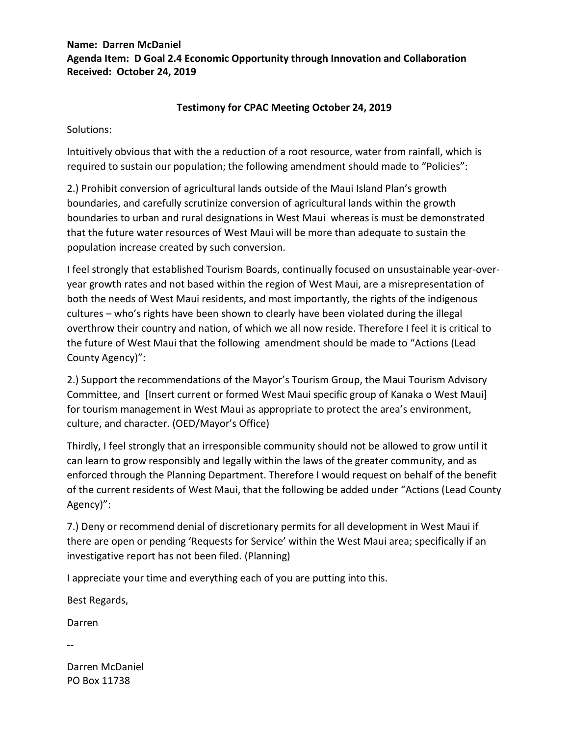## **Name: Darren McDaniel Agenda Item: D Goal 2.4 Economic Opportunity through Innovation and Collaboration Received: October 24, 2019**

## **Testimony for CPAC Meeting October 24, 2019**

Solutions:

Intuitively obvious that with the a reduction of a root resource, water from rainfall, which is required to sustain our population; the following amendment should made to "Policies":

2.) Prohibit conversion of agricultural lands outside of the Maui Island Plan's growth boundaries, and carefully scrutinize conversion of agricultural lands within the growth boundaries to urban and rural designations in West Maui whereas is must be demonstrated that the future water resources of West Maui will be more than adequate to sustain the population increase created by such conversion.

I feel strongly that established Tourism Boards, continually focused on unsustainable year-overyear growth rates and not based within the region of West Maui, are a misrepresentation of both the needs of West Maui residents, and most importantly, the rights of the indigenous cultures – who's rights have been shown to clearly have been violated during the illegal overthrow their country and nation, of which we all now reside. Therefore I feel it is critical to the future of West Maui that the following amendment should be made to "Actions (Lead County Agency)":

2.) Support the recommendations of the Mayor's Tourism Group, the Maui Tourism Advisory Committee, and [Insert current or formed West Maui specific group of Kanaka o West Maui] for tourism management in West Maui as appropriate to protect the area's environment, culture, and character. (OED/Mayor's Office)

Thirdly, I feel strongly that an irresponsible community should not be allowed to grow until it can learn to grow responsibly and legally within the laws of the greater community, and as enforced through the Planning Department. Therefore I would request on behalf of the benefit of the current residents of West Maui, that the following be added under "Actions (Lead County Agency)":

7.) Deny or recommend denial of discretionary permits for all development in West Maui if there are open or pending 'Requests for Service' within the West Maui area; specifically if an investigative report has not been filed. (Planning)

I appreciate your time and everything each of you are putting into this.

Best Regards,

Darren

--

Darren McDaniel PO Box 11738